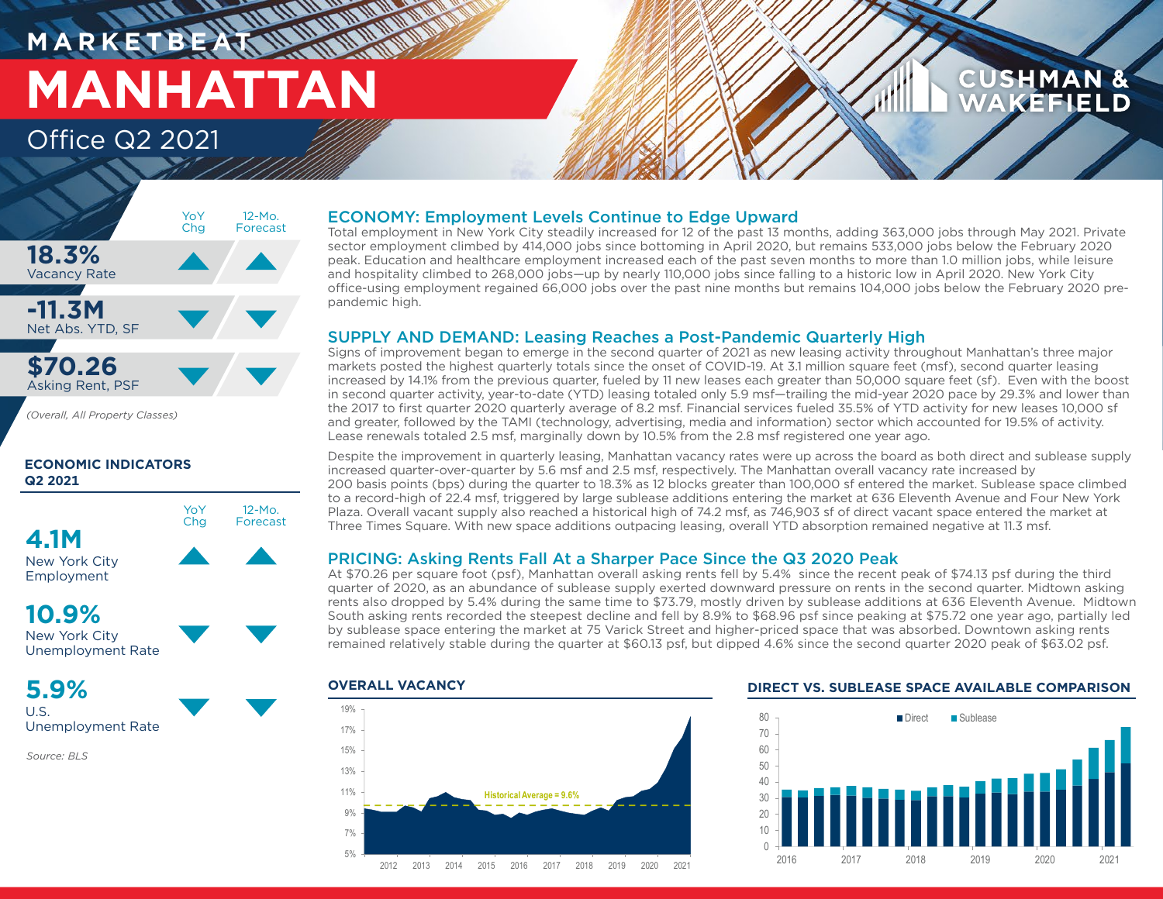### **M A R K E T B E AT MANHATTAN** Office Q2 2021

### **CUSHMAN & AKEFIELD**



*(Overall, All Property Classes)*

#### **ECONOMIC INDICATORS Q2 2021**



Employment

### **10.9%**



### **5.9%**

U.S. Unemployment Rate

*Source: BLS*

#### ECONOMY: Employment Levels Continue to Edge Upward

Total employment in New York City steadily increased for 12 of the past 13 months, adding 363,000 jobs through May 2021. Private sector employment climbed by 414,000 jobs since bottoming in April 2020, but remains 533,000 jobs below the February 2020 peak. Education and healthcare employment increased each of the past seven months to more than 1.0 million jobs, while leisure and hospitality climbed to 268,000 jobs—up by nearly 110,000 jobs since falling to a historic low in April 2020. New York City office-using employment regained 66,000 jobs over the past nine months but remains 104,000 jobs below the February 2020 prepandemic high.

#### SUPPLY AND DEMAND: Leasing Reaches a Post-Pandemic Quarterly High

Signs of improvement began to emerge in the second quarter of 2021 as new leasing activity throughout Manhattan's three major markets posted the highest quarterly totals since the onset of COVID-19. At 3.1 million square feet (msf), second quarter leasing increased by 14.1% from the previous quarter, fueled by 11 new leases each greater than 50,000 square feet (sf). Even with the boost in second quarter activity, year-to-date (YTD) leasing totaled only 5.9 msf—trailing the mid-year 2020 pace by 29.3% and lower than the 2017 to first quarter 2020 quarterly average of 8.2 msf. Financial services fueled 35.5% of YTD activity for new leases 10,000 sf and greater, followed by the TAMI (technology, advertising, media and information) sector which accounted for 19.5% of activity. Lease renewals totaled 2.5 msf, marginally down by 10.5% from the 2.8 msf registered one year ago.

Despite the improvement in quarterly leasing, Manhattan vacancy rates were up across the board as both direct and sublease supply increased quarter-over-quarter by 5.6 msf and 2.5 msf, respectively. The Manhattan overall vacancy rate increased by 200 basis points (bps) during the quarter to 18.3% as 12 blocks greater than 100,000 sf entered the market. Sublease space climbed to a record-high of 22.4 msf, triggered by large sublease additions entering the market at 636 Eleventh Avenue and Four New York Plaza. Overall vacant supply also reached a historical high of 74.2 msf, as 746,903 sf of direct vacant space entered the market at Three Times Square. With new space additions outpacing leasing, overall YTD absorption remained negative at 11.3 msf.

#### PRICING: Asking Rents Fall At a Sharper Pace Since the Q3 2020 Peak

At \$70.26 per square foot (psf), Manhattan overall asking rents fell by 5.4% since the recent peak of \$74.13 psf during the third quarter of 2020, as an abundance of sublease supply exerted downward pressure on rents in the second quarter. Midtown asking rents also dropped by 5.4% during the same time to \$73.79, mostly driven by sublease additions at 636 Eleventh Avenue. Midtown South asking rents recorded the steepest decline and fell by 8.9% to \$68.96 psf since peaking at \$75.72 one year ago, partially led by sublease space entering the market at 75 Varick Street and higher-priced space that was absorbed. Downtown asking rents remained relatively stable during the quarter at \$60.13 psf, but dipped 4.6% since the second quarter 2020 peak of \$63.02 psf.



#### **OVERALL VACANCY DIRECT VS. SUBLEASE SPACE AVAILABLE COMPARISON**

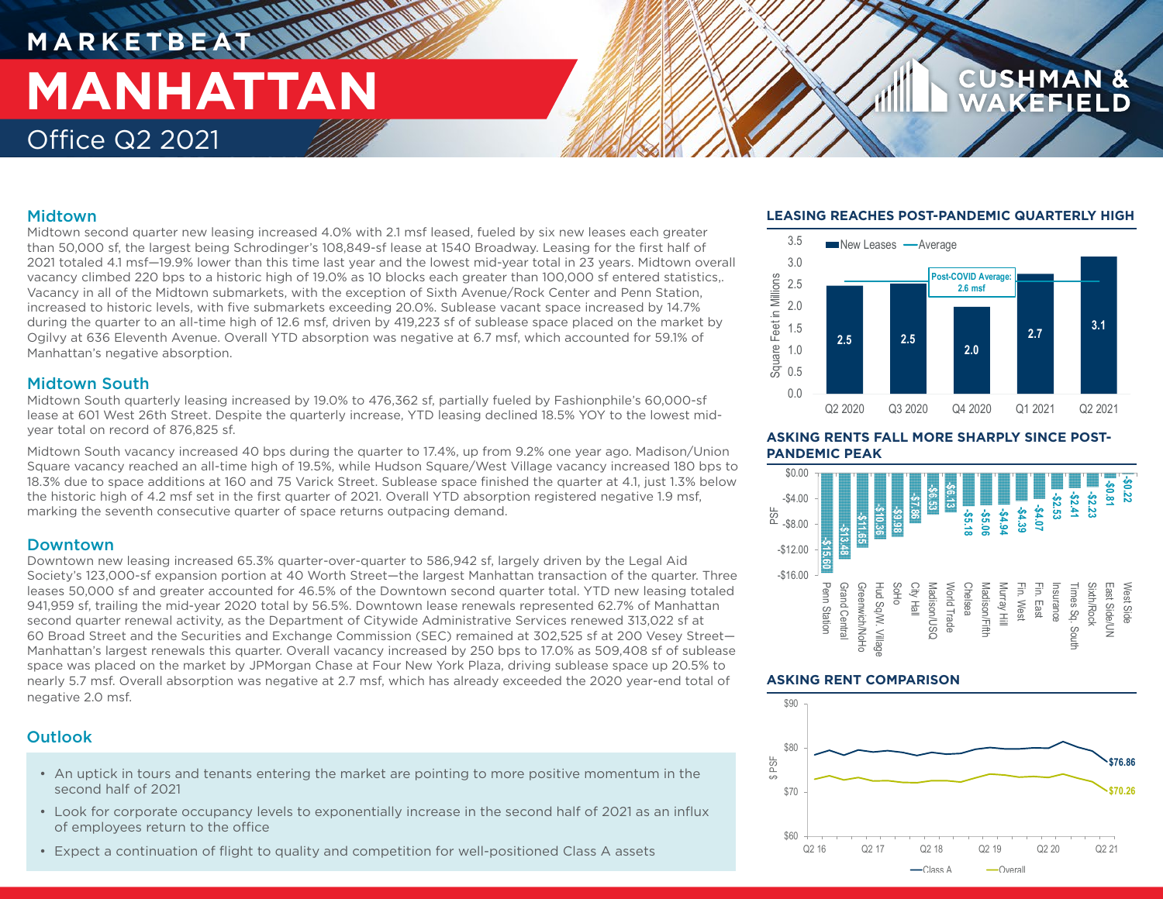# **M A R K E T B E AT MANHATTAN** Office Q2 2021

#### Midtown

Midtown second quarter new leasing increased 4.0% with 2.1 msf leased, fueled by six new leases each greater than 50,000 sf, the largest being Schrodinger's 108,849-sf lease at 1540 Broadway. Leasing for the first half of 2021 totaled 4.1 msf—19.9% lower than this time last year and the lowest mid-year total in 23 years. Midtown overall vacancy climbed 220 bps to a historic high of 19.0% as 10 blocks each greater than 100,000 sf entered statistics,. Vacancy in all of the Midtown submarkets, with the exception of Sixth Avenue/Rock Center and Penn Station, increased to historic levels, with five submarkets exceeding 20.0%. Sublease vacant space increased by 14.7% during the quarter to an all-time high of 12.6 msf, driven by 419,223 sf of sublease space placed on the market by Ogilvy at 636 Eleventh Avenue. Overall YTD absorption was negative at 6.7 msf, which accounted for 59.1% of Manhattan's negative absorption.

#### Midtown South

Midtown South quarterly leasing increased by 19.0% to 476,362 sf, partially fueled by Fashionphile's 60,000-sf lease at 601 West 26th Street. Despite the quarterly increase, YTD leasing declined 18.5% YOY to the lowest midyear total on record of 876,825 sf.

Midtown South vacancy increased 40 bps during the quarter to 17.4%, up from 9.2% one year ago. Madison/Union Square vacancy reached an all-time high of 19.5%, while Hudson Square/West Village vacancy increased 180 bps to 18.3% due to space additions at 160 and 75 Varick Street. Sublease space finished the quarter at 4.1, just 1.3% below the historic high of 4.2 msf set in the first quarter of 2021. Overall YTD absorption registered negative 1.9 msf, marking the seventh consecutive quarter of space returns outpacing demand.

#### Downtown

Downtown new leasing increased 65.3% quarter-over-quarter to 586,942 sf, largely driven by the Legal Aid Society's 123,000-sf expansion portion at 40 Worth Street—the largest Manhattan transaction of the quarter. Three leases 50,000 sf and greater accounted for 46.5% of the Downtown second quarter total. YTD new leasing totaled 941,959 sf, trailing the mid-year 2020 total by 56.5%. Downtown lease renewals represented 62.7% of Manhattan second quarter renewal activity, as the Department of Citywide Administrative Services renewed 313,022 sf at 60 Broad Street and the Securities and Exchange Commission (SEC) remained at 302,525 sf at 200 Vesey Street— Manhattan's largest renewals this quarter. Overall vacancy increased by 250 bps to 17.0% as 509,408 sf of sublease space was placed on the market by JPMorgan Chase at Four New York Plaza, driving sublease space up 20.5% to nearly 5.7 msf. Overall absorption was negative at 2.7 msf, which has already exceeded the 2020 year-end total of negative 2.0 msf.

### **Outlook**

- An uptick in tours and tenants entering the market are pointing to more positive momentum in the second half of 2021
- Look for corporate occupancy levels to exponentially increase in the second half of 2021 as an influx of employees return to the office
- Expect a continuation of flight to quality and competition for well-positioned Class A assets

#### **LEASING REACHES POST-PANDEMIC QUARTERLY HIGH**

CUSHMAN



**ASKING RENTS FALL MORE SHARPLY SINCE POST-PANDEMIC PEAK**



#### **ASKING RENT COMPARISON**

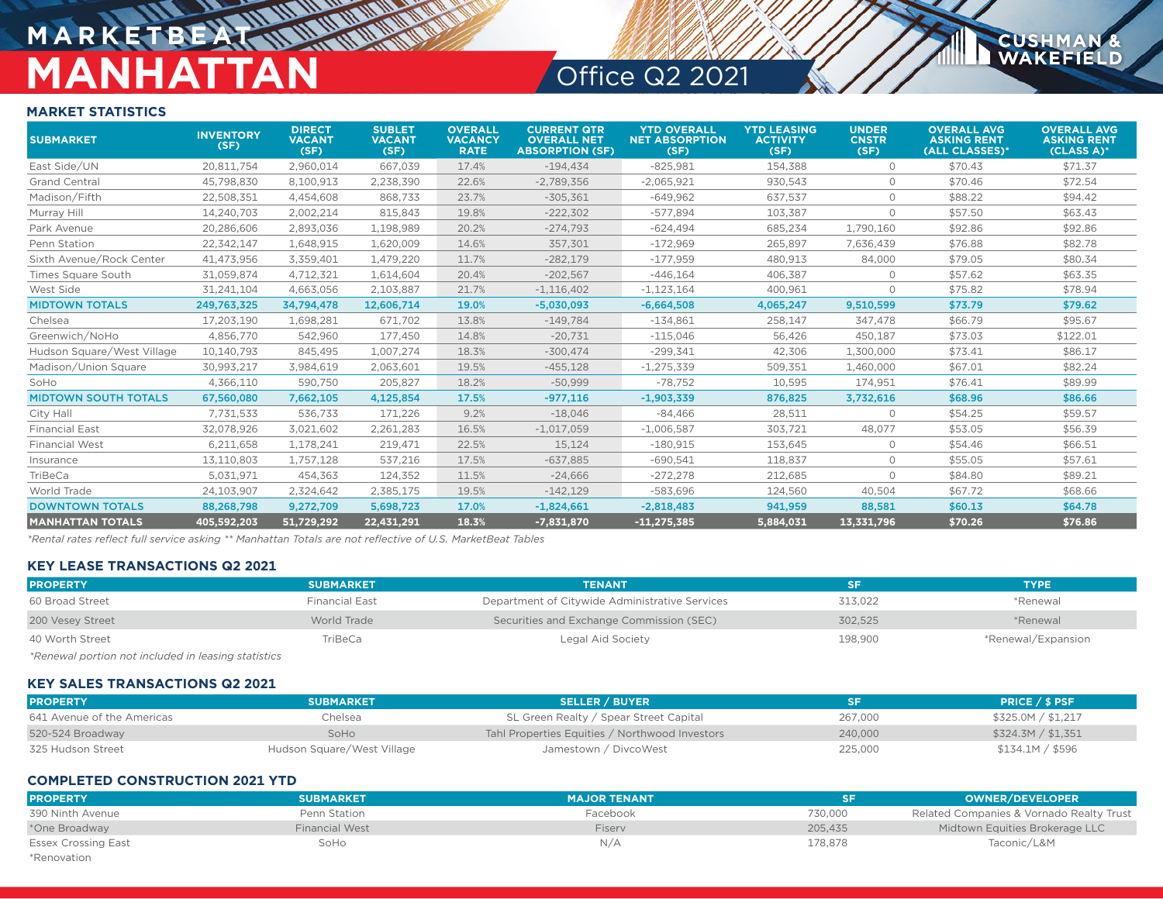## **MARKETBEA MANHATTAN** Office Q2 2021

**CUSHMA** WAKEFIELD

#### **MARKET STATISTICS**

| <b>SUBMARKET</b>            | <b>INVENTORY</b><br>(SF) | <b>DIRECT</b><br><b>VACANT</b><br>(SF) | <b>SUBLET</b><br><b>VACANT</b><br>(SF) | <b>OVERALL</b><br><b>VACANCY</b><br><b>RATE</b> | <b>CURRENT QTR</b><br><b>OVERALL NET</b><br><b>ABSORPTION (SF)</b> | <b>YTD OVERALL</b><br><b>NET ABSORPTION</b><br>(SF) | <b>YTD LEASING</b><br><b>ACTIVITY</b><br>(SF) | <b>UNDER</b><br><b>CNSTR</b><br>(SF) | <b>OVERALL AVG</b><br><b>ASKING RENT</b><br>(ALL CLASSES)* | <b>OVERALL AVG</b><br><b>ASKING RENT</b><br>$(CLASS A)$ * |
|-----------------------------|--------------------------|----------------------------------------|----------------------------------------|-------------------------------------------------|--------------------------------------------------------------------|-----------------------------------------------------|-----------------------------------------------|--------------------------------------|------------------------------------------------------------|-----------------------------------------------------------|
| East Side/UN                | 20.811.754               | 2.960.014                              | 667.039                                | 17.4%                                           | $-194,434$                                                         | $-825.981$                                          | 154.388                                       | $\circ$                              | \$70.43                                                    | \$71.37                                                   |
| <b>Grand Central</b>        | 45,798,830               | 8,100,913                              | 2,238,390                              | 22.6%                                           | $-2,789,356$                                                       | $-2,065,921$                                        | 930,543                                       | $\circ$                              | \$70.46                                                    | \$72.54                                                   |
| Madison/Fifth               | 22,508,351               | 4,454,608                              | 868,733                                | 23.7%                                           | $-305,361$                                                         | $-649,962$                                          | 637,537                                       | $\Omega$                             | \$88.22                                                    | \$94.42                                                   |
| Murray Hill                 | 14,240,703               | 2,002,214                              | 815,843                                | 19.8%                                           | $-222,302$                                                         | $-577.894$                                          | 103,387                                       | $\circ$                              | \$57.50                                                    | \$63.43                                                   |
| Park Avenue                 | 20,286,606               | 2,893,036                              | 1,198,989                              | 20.2%                                           | $-274,793$                                                         | $-624,494$                                          | 685,234                                       | 1,790,160                            | \$92.86                                                    | \$92.86                                                   |
| Penn Station                | 22,342,147               | 1,648,915                              | 1,620,009                              | 14.6%                                           | 357,301                                                            | $-172,969$                                          | 265,897                                       | 7,636,439                            | \$76.88                                                    | \$82.78                                                   |
| Sixth Avenue/Rock Center    | 41,473,956               | 3,359,401                              | 1,479,220                              | 11.7%                                           | $-282,179$                                                         | $-177,959$                                          | 480,913                                       | 84,000                               | \$79.05                                                    | \$80.34                                                   |
| <b>Times Square South</b>   | 31,059,874               | 4,712,321                              | 1,614,604                              | 20.4%                                           | $-202,567$                                                         | $-446,164$                                          | 406,387                                       | $\circ$                              | \$57.62                                                    | \$63.35                                                   |
| West Side                   | 31,241,104               | 4,663,056                              | 2,103,887                              | 21.7%                                           | $-1,116,402$                                                       | $-1,123,164$                                        | 400,961                                       | $\circ$                              | \$75.82                                                    | \$78.94                                                   |
| <b>MIDTOWN TOTALS</b>       | 249,763,325              | 34,794,478                             | 12,606,714                             | 19.0%                                           | $-5,030,093$                                                       | $-6,664,508$                                        | 4,065,247                                     | 9,510,599                            | \$73.79                                                    | \$79.62                                                   |
| Chelsea                     | 17.203.190               | 1.698.281                              | 671.702                                | 13.8%                                           | $-149.784$                                                         | $-134,861$                                          | 258.147                                       | 347,478                              | \$66.79                                                    | \$95.67                                                   |
| Greenwich/NoHo              | 4,856,770                | 542,960                                | 177,450                                | 14.8%                                           | $-20,731$                                                          | $-115,046$                                          | 56,426                                        | 450,187                              | \$73.03                                                    | \$122.01                                                  |
| Hudson Square/West Village  | 10,140,793               | 845.495                                | 1,007,274                              | 18.3%                                           | $-300,474$                                                         | $-299,341$                                          | 42,306                                        | 1,300,000                            | \$73.41                                                    | \$86.17                                                   |
| Madison/Union Square        | 30.993.217               | 3,984,619                              | 2,063,601                              | 19.5%                                           | $-455,128$                                                         | $-1,275,339$                                        | 509,351                                       | 1,460,000                            | \$67.01                                                    | \$82.24                                                   |
| SoHo                        | 4,366,110                | 590.750                                | 205,827                                | 18.2%                                           | $-50,999$                                                          | $-78.752$                                           | 10,595                                        | 174,951                              | \$76.41                                                    | \$89.99                                                   |
| <b>MIDTOWN SOUTH TOTALS</b> | 67,560,080               | 7,662,105                              | 4,125,854                              | 17.5%                                           | $-977,116$                                                         | $-1,903,339$                                        | 876,825                                       | 3,732,616                            | \$68.96                                                    | \$86.66                                                   |
| City Hall                   | 7,731,533                | 536,733                                | 171,226                                | 9.2%                                            | $-18,046$                                                          | $-84,466$                                           | 28,511                                        | $\circ$                              | \$54.25                                                    | \$59.57                                                   |
| <b>Financial East</b>       | 32,078,926               | 3,021,602                              | 2,261,283                              | 16.5%                                           | $-1,017,059$                                                       | $-1,006,587$                                        | 303,721                                       | 48,077                               | \$53.05                                                    | \$56.39                                                   |
| <b>Financial West</b>       | 6,211,658                | 1,178,241                              | 219,471                                | 22.5%                                           | 15,124                                                             | $-180.915$                                          | 153,645                                       | $\circ$                              | \$54.46                                                    | \$66.51                                                   |
| Insurance                   | 13,110,803               | 1,757,128                              | 537,216                                | 17.5%                                           | $-637,885$                                                         | $-690,541$                                          | 118,837                                       | $\circ$                              | \$55.05                                                    | \$57.61                                                   |
| TriBeCa                     | 5,031,971                | 454,363                                | 124,352                                | 11.5%                                           | $-24,666$                                                          | $-272,278$                                          | 212,685                                       | $\circ$                              | \$84.80                                                    | \$89.21                                                   |
| World Trade                 | 24,103,907               | 2,324,642                              | 2,385,175                              | 19.5%                                           | $-142,129$                                                         | $-583,696$                                          | 124,560                                       | 40,504                               | \$67.72                                                    | \$68.66                                                   |
| <b>DOWNTOWN TOTALS</b>      | 88,268,798               | 9,272,709                              | 5,698,723                              | 17.0%                                           | $-1,824,661$                                                       | $-2,818,483$                                        | 941,959                                       | 88,581                               | \$60.13                                                    | \$64.78                                                   |
| <b>MANHATTAN TOTALS</b>     | 405.592.203              | 51,729,292                             | 22.431.291                             | 18.3%                                           | $-7,831,870$                                                       | $-11,275,385$                                       | 5.884.031                                     | 13,331,796                           | \$70.26                                                    | \$76.86                                                   |

*\*Rental rates reflect full service asking \*\* Manhattan Totals are not reflective of U.S. MarketBeat Tables*

#### **KEY LEASE TRANSACTIONS Q2 2021**

| <b>PROPERTY</b>                                     | <b>SUBMARKET</b>      | <b>TENANT</b>                                  | SF.     | <b>TYPE</b>        |
|-----------------------------------------------------|-----------------------|------------------------------------------------|---------|--------------------|
| 60 Broad Street                                     | <b>Financial East</b> | Department of Citywide Administrative Services | 313.022 | *Renewal           |
| 200 Vesey Street                                    | World Trade           | Securities and Exchange Commission (SEC)       | 302,525 | *Renewal           |
| 40 Worth Street                                     | TriBeCa               | Legal Aid Society                              | 198,900 | *Renewal/Expansion |
| *Renewal portion not included in leasing statistics |                       |                                                |         |                    |

#### **KEY SALES TRANSACTIONS Q2 2021**

| <b>PROPERTY</b>            | <b>SUBMARKET</b>           | <b>SELLER / BUYER</b>                          | SF      | <b>PRICE / \$ PSF</b> |
|----------------------------|----------------------------|------------------------------------------------|---------|-----------------------|
| 641 Avenue of the Americas | Chelsea                    | SL Green Realty / Spear Street Capital         | 267,000 | \$325.0M / \$1,217    |
| 520-524 Broadway           | SoHo                       | Tahl Properties Equities / Northwood Investors | 240,000 | \$324.3M / \$1,351    |
| 325 Hudson Street          | Hudson Square/West Village | Jamestown / DivcoWest                          | 225,000 | \$134.1M / \$596      |

#### **COMPLETED CONSTRUCTION 2021 YTD**

| <b>PROPERTY</b>            | <b>SUBMARKET</b>      | <b>MAJOR TENANT</b> | SF      | <b>OWNER/DEVELOPER</b>                   |
|----------------------------|-----------------------|---------------------|---------|------------------------------------------|
| 390 Ninth Avenue           | Penn Station          | Facebook            | 730,000 | Related Companies & Vornado Realty Trust |
| *One Broadway              | <b>Financial West</b> | Fisery              | 205,435 | Midtown Equities Brokerage LLC           |
| <b>Essex Crossing East</b> | SoHo                  | N/A                 | 178,878 | Taconic/L&M                              |
| *Renovation                |                       |                     |         |                                          |